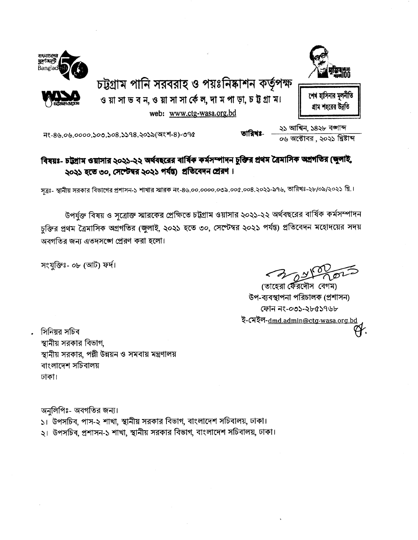

চট্টগ্রাম পানি সরবরাহ ও পয়ঃনিষ্কাশন কর্তৃপক্ষ

ও য়া সা ভ ব ন, ও য়া সা সা র্কে ল, দা ম পা ড়া, চ ট গ্রা ম। web: www.ctg-wasa.org.bd



শেধ হাসিনার মলনীতি গ্ৰাম শহৱেৱ উন্নতি

২১ আশ্বিন, ১৪২৮ বজ্ঞাব্দ<br>০৬ অক্টোবর , ২০২১ খ্রিষ্টাব্দ

নং-৪৬.০৬.০০০০.১০৩.১০৪.১১৭৪.২০১৯(অংশ-৪)-৩৭৫

## বিষয়ঃ- চট্টগ্ৰাম ওয়াসার ২০২১-২২ অৰ্থবছরের বার্ষিক কর্মসম্পাদন চুক্তির প্রথম ত্রৈমাসিক অগ্রগতির (জুলাই, ২০২১ হতে ৩০, সেপ্টেম্বর ২০২১ পর্যন্ত) প্রতিবেদন প্রেরণ।

তাবিখঃ-

সূত্রঃ- স্থানীয় সরকার বিভাগের প্রশাসন-১ শাখার স্মারক নং-৪৬.০০.০০০০.০৩৯.০০৫.০০৪.২০২১-৯৭৬, তারিখঃ-২৮/০৯/২০২১ খ্রি.।

উপর্যুক্ত বিষয় ও সূত্রোক্ত স্মারকের প্রেক্ষিতে চট্টগ্রাম ওয়াসার ২০২১-২২ অর্থবছরের বার্ষিক কর্মসম্পাদন চুক্তির প্রথম ত্রৈমাসিক অগ্রগতির (জুলাই, ২০২১ হতে ৩০, সেষ্টেম্বর ২০২১ পর্যন্ত) প্রতিবেদন মহোদয়ের সদয় অবগতির জন্য এতদসঙ্গে প্রেরণ করা হলো।

সংযুক্তিঃ- ০৮ (আট) ফর্দ।

(তাহেরা র্ফেরদৌস বেগম) উপ-ব্যবস্থাপনা পরিচালক (প্রশাসন) ফোন নং-০৩১-২৮৫১৭৬৮ ই-মেইল-dmd.admin@ctg-wasa.org.bd

সিনিয়র সচিব স্থানীয় সরকার বিভাগ. স্থানীয় সরকার, পল্লী উন্নয়ন ও সমবায় মন্ত্রণালয় বাংলাদেশ সচিবালয় ঢাকা।

অনলিপিঃ- অবগতির জন্য।

১। উপসচিব, পাস-২ শাখা, স্থানীয় সরকার বিভাগ, বাংলাদেশ সচিবালয়, ঢাকা।

২। উপসচিব, প্রশাসন-১ শাখা, স্থানীয় সরকার বিভাগ, বাংলাদেশ সচিবালয়, ঢাকা।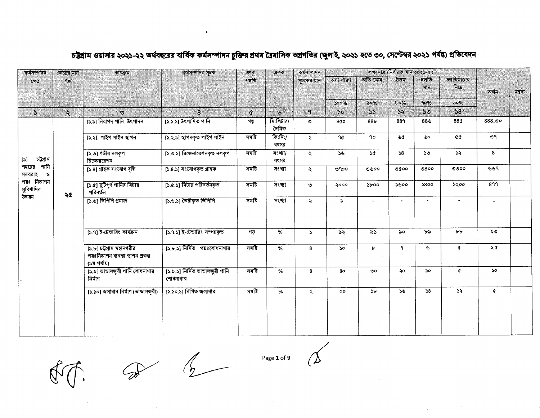লক্ষ্যমাত্ৰা/নিৰ্ণায়ক মান ২০২১-২২ কৰ্মসম্পাদন কৰ্মসম্পাদন ক্ষেত্ৰের মান কাৰ্যক্ৰম কর্মসম্পাদন সূচক গণনা একক অতি উত্তম উত্তম চলতি চলতিমানের পদতি অসা-ধারণ সচকের মান ক্ষেত্র  $90$ निम्न মান অৰ্জন মন্তব্য ar nu  $500%$  $\log_6$  $b^o$ % 90%  $60%$  $\ddot{\sim}$  $\mathbf{b}$  $\mathbf{a}$  $50<sub>o</sub>$  $55$  $\mathcal{S}$  $55$  $38<sup>°</sup>$  $S$  $\mathcal{O}$ 8  $\mathfrak{C}$ [১.১] নিরাপদ পানি উৎপাদন [১.১.১] উৎপাদিত পানি মি:লিটার/  $888,00$ গড  $88<sub>b</sub>$ 889  $88<sub>0</sub>$ 88¢ ৩  $800$ দৈনিক [১.২.১] স্থাপনকৃত পাইপ লাইন সমষ্টি  $\sqrt{a}$ :মি:/ [১.২]. পাইপ লাইন স্থাপন ዓ৫  $90^{\circ}$ ৬৫ صطا άά ৩৭  $\ddot{\mathbf{z}}$ বৎসর [১.৩.১] রিজেনারেশনকৃত নলকৃপ [১.৩] গভীর নলকূপ সমষ্টি সংখ্যা/  $\mathbf{z}$  $56$ **SG**  $58$ ১৩  $\mathcal{L}$ 8 চট্গ্ৰাম  $[5]$ রিজেনারেশন বৎসর শহরের পানি [১.৪] গ্ৰাহক সংযোগ বৃদ্ধি [১.৪.১] সংযোগকৃত গ্ৰাহক সমষ্টি সংখ্যা ৩৩০০ ৬৬৭  $\ddot{\mathbf{z}}$ ৩৭০০ ৩৬০০ ৩৫০০  $0800$ সরবরাহ ও পয়ঃ নিষ্কাশন  $[5.6]$  বুটিপূর্ণ পানির মিটার [১.৫.১] মিটার পরিবর্তনকৃত সমষ্টি ১৬০০  $5800$ ১২০০ 899 সংখ্যা ২০০০  $\delta$ boo  $\circ$ সুবিধাদির পরিবর্তন ২৫ উল্লয়ন [১.৬] ডিপিপি প্রনয়ণ [১.৬.১] তৈরীকৃত ডিপিপি সমষ্টি সংখ্যা  $\mathbf{z}$  $\mathbf{S}$  $\mathbf{r}$ [১.৭] ই-টেন্ডারিং কার্যক্রম [১.৭.১] ই-টেন্ডারিং সম্পন্নকৃত ৮৮ ৯৩ গড  $%$  $\mathbf{S}$ ৯২  $\lambda S$ ৯০ ৮৯ [১.৮] চট্টগ্রাম মহানগরীর [১.৮.১] নির্মিত পয়ঃশোধনাগার সমষ্টি  $\mathbf{r}$  $\mathbf{a}$  $\mathcal{G}$ ¢  $5.0$ % 8 **So** পয়ঃনিষ্কাশন ব্যবস্থা স্থাপন প্ৰকল্প (১ম পর্যায়) [১.৯] ভান্ডালজুরী পানি শোধনাগার [১.৯.১] নিৰ্মিত ভাভালজুরী পানি সমষ্টি  $%$ 8  $80$  $\circ$ ২০ **So**  $\alpha$  $50^{\circ}$ নিৰ্মাণ শোধনাগার [১.১০] জলাধার নির্মাণ (ভান্ডালজুরী) [১.১০.১] নির্মিত জলাধার সমষ্টি % ২০ **SF**  $56$  $58$  $55 \mathfrak{a}$  $\ddot{\sim}$ 

### চট্টগ্রাম ওয়াসার ২০২১-২২ অর্থবছরের বার্ষিক কর্মসম্পাদন চুক্তির প্রথম ত্রৈমাসিক অগ্রগতির (জুলাই, ২০২১ হতে ৩০, সেষ্টেম্বর ২০২১ পর্যন্ত) প্রতিবেদন

 $\bullet$ 

 $\begin{array}{ccc}\n\mathcal{D} & \mathcal{D} & \mathcal{D}\n\end{array}$ 

Page 1 of 9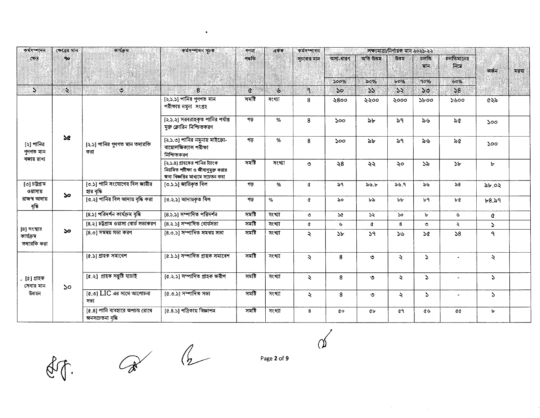| কৰ্মসম্পাদন                            | ক্ষেত্ৰের মান  | কাৰ্যক্ৰম                                                  | কৰ্মসম্পাদন সূচক                                                                                         | গণনা     | $\mathfrak{q}$ কক | কৰ্মসম্পাদন                |                       |                            | লক্ষ্যমাত্ৰা/নিৰ্ণায়ক মান ২০২১-২২ |                |                       |                                                                                                         |         |
|----------------------------------------|----------------|------------------------------------------------------------|----------------------------------------------------------------------------------------------------------|----------|-------------------|----------------------------|-----------------------|----------------------------|------------------------------------|----------------|-----------------------|---------------------------------------------------------------------------------------------------------|---------|
| CP <sub>0</sub>                        | 9 <sub>o</sub> |                                                            |                                                                                                          | পদ্ধতি   |                   | সচকের মান                  | অসা-ধারণ              | অতি উত্তম                  | উত্তম                              | চলতি<br>মান    | চলতিমানের<br>নিমে     | অৰ্জন                                                                                                   | মন্তব্য |
|                                        |                |                                                            |                                                                                                          |          |                   |                            | 500%                  | 50%                        | $b$ 0%                             | 90%            | 60%                   |                                                                                                         |         |
| $\mathcal{S}$                          | ó.             | $\ddot{\circ}$                                             | $\mathbf{8}$                                                                                             | $\alpha$ | $\mathbf{v}$      | $\mathbf{a}$               | 50                    | $\boldsymbol{\mathcal{S}}$ | 55                                 | $50^{\circ}$   | 58                    |                                                                                                         |         |
|                                        |                |                                                            | $[2.5.5]$ পানির গুণগত মান<br>পরীক্ষায় নমুনা সংগ্রহ                                                      | সমষ্টি   | সংখ্যা            | 8                          | ২৪০০                  | ২২০০                       | ২০০০                               | $\delta$ boo   | ১৬০০                  | ৫২৯                                                                                                     |         |
|                                        |                |                                                            | [২.১.২] সরবরাহকৃত পানির পর্যাপ্ত<br>মুক্ত ক্লোরিন নিশ্চিতকরণ                                             | গড়      | %                 | 8                          | 500                   | ৯৮                         | ৯৭                                 | ৯৬             | ৯৫                    | 500<br>500<br>ŀ<br>৯৮.০২<br>6.84<br>¢<br>$\mathcal{L}$<br>٩<br>₹<br>$\mathcal{L}$<br>$\mathcal{L}$<br>ъ |         |
| [২] পানির<br>গুণগত মান<br>বজায় রাখা   | <b>SC</b>      | [২.১] পানির গুণগত মান তদারকি<br>করা                        | [২.১.৩] পানির নমুনায় মাইকো-<br>বায়োলজিক্যাল পরীক্ষা<br>নিশ্চিতকরণ                                      | গড়      | %                 | 8                          | 500                   | ৯৮                         | ৯৭                                 | ৯৬             | ৯৫                    |                                                                                                         |         |
|                                        |                |                                                            | [২.১.৪] গ্রাহকের পানির ট্যাংক<br>নিয়মিত পরীক্ষা ও জীবাণুমুক্ত করার<br>জন্য বিজ্ঞপ্তির মাধ্যমে সচেতন করা | সমষ্টি   | সংখ্যা            | $\circ$                    | $\leq 8$              | ২২                         | ২০                                 | ১৯             | $\mathcal{P}$         |                                                                                                         |         |
| [৩] চট্টগ্ৰাম<br>ওয়াসায়              | 50             | [৩.১] পানি সংযোগের বিল জারীর<br>হার বৃদ্ধি                 | [৩.১.১] জারিকৃত বিল                                                                                      | গড়      | %                 | ¢                          | ৯৭                    | ৯৬.৮                       | 56.9                               | $\partial G$   | $\geqslant8$          |                                                                                                         |         |
| রাজস্ব আদায়<br>বৃদ্ধি                 |                | [৩.২] পানির বিল আদায় বৃদ্ধি করা                           | [৩.২.১] আদায়কৃত বিল                                                                                     | গড়      | %                 | ¢                          | ৯০                    | ৮৯                         | b                                  | b <sup>q</sup> | <b>b</b> <sup>d</sup> |                                                                                                         |         |
|                                        |                | [8.১] পরিদর্শন কার্যক্রম বৃদ্ধি                            | [8.১.১] সম্পাদিত পরিদর্শন                                                                                | সমষ্টি   | সংখ্যা            | ৩                          | $\mathcal{A}$         | $\mathcal{L}$              | $50^{\circ}$                       | Ъ              | ৬                     |                                                                                                         |         |
|                                        |                | [8.২] চট্টগ্রাম ওয়াসা বোর্ড সভাকরণ                        | $[8.3.5]$ সম্পাদিত বোর্ডসভা                                                                              | সমষ্টি   | সংখ্যা            | ¢                          | $\mathcal{L}$         | ¢                          | 8                                  | $\circ$        | $\lambda$             |                                                                                                         |         |
| [8] সংস্থার<br>কাৰ্যক্ৰম<br>তদারকি করা | ১০             | [8.৩] সমন্বয় সভা করণ                                      | $[8.0.5]$ সম্পাদিত সমন্বয় সভা                                                                           | সমষ্টি   | সংখ্যা            | $\lambda$                  | $\Delta$ <sub>b</sub> | 59                         | ১৬                                 | $\mathcal{A}$  | 58                    |                                                                                                         |         |
|                                        |                | [৫.১] গ্ৰাহক সমাবেশ                                        | [৫.১.১] সম্পাদিত গ্ৰাহক সমাবেশ                                                                           | সমষ্টি   | সংখ্যা            | $\boldsymbol{\mathcal{L}}$ | 8                     | $\circ$                    | ₹                                  | $\Delta$       |                       |                                                                                                         |         |
| [৫] গ্ৰাহক<br>সেবার মান                | 50             | [৫.২] গ্ৰাহক সন্তুষ্টি যাচাই                               | [৫.২.১] সম্পাদিত গ্ৰাহক জয়ীপ                                                                            | সমষ্টি   | সংখ্যা            | $\lambda$                  | 8                     | ৩                          | $\ddot{\mathbf{z}}$                | $\Delta$       | $\blacksquare$        |                                                                                                         |         |
| উন্নয়ন                                |                | $\overline{[a, 0]}$ $\overline{LIC}$ এর সাথে আলোচনা<br>সভা | [৫.৩.১] সম্পাদিত সভা                                                                                     | সমষ্টি   | সংখ্যা            | $\ddot{\mathcal{L}}$       | 8                     | ৩                          | ₹                                  | $\Delta$       | $\sim$                |                                                                                                         |         |
|                                        |                | [৫.৪] পানি ব্যবহারে অপচয় রোধে<br>জনসচেতনা বৃদ্ধি          | [৫.৪.১] পত্রিকায় বিজ্ঞাপন                                                                               | সমষ্টি   | সংখ্যা            | 8                          | đο                    | $4 -$                      | œ٩                                 | ৫৬             | aa                    |                                                                                                         |         |

 $\bullet$ 

dit.

 $\begin{array}{ccc} & & & \mathbb{A} & \\ & & & \mathbb{A} & \end{array}$ 

Page 2 of 9

 $\mathcal O$ 

 $\label{eq:2.1} \mathcal{L}^{\text{max}}_{\text{max}}(\mathcal{L}^{\text{max}}_{\text{max}}, \mathcal{L}^{\text{max}}_{\text{max}}, \mathcal{L}^{\text{max}}_{\text{max}}))$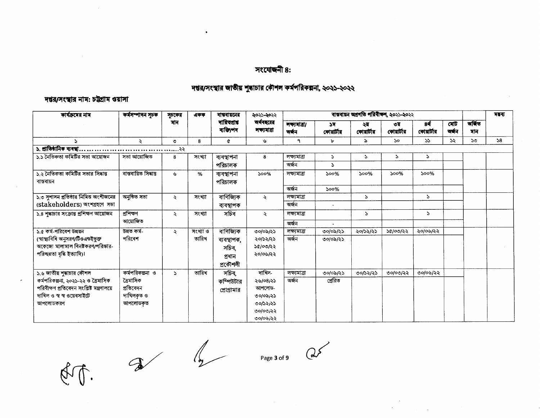### मश्ट्याकनी 8:

 $\bullet$ 

### দন্তর/সংস্থার জাতীয় শুদ্ধাচার কৌশল কর্মপরিকল্পনা, ২০২১-২০২২

#### দশ্বর/সংস্থার নাম: চট্টগ্রাম ওয়াসা

| কার্যক্রমের নাম                                 | কৰ্মসম্পাদন সূচক      | সূচকের              | একক      | বাস্ববায়নের             | ২০২১-২০২২                 |                        |                  | ৰান্তৰায়ন অগ্ৰগতি পরিবীক্ষণ, ২০২১-২০২২ |                   |                      |               |              | নম্বৰ |
|-------------------------------------------------|-----------------------|---------------------|----------|--------------------------|---------------------------|------------------------|------------------|-----------------------------------------|-------------------|----------------------|---------------|--------------|-------|
|                                                 |                       | মান                 |          | দায়িত্বার<br>ব্যক্তি/পদ | অৰ্থবছরের<br>লক্ষ্যমাত্ৰা | লক্ষ্যৰাত্ৰা/<br>অৰ্জন | ১ম<br>কোয়াৰ্টার | ২ম<br>কোয়ার্টার                        | ৩য়<br>কোয়াৰ্টার | 84<br>কোয়ার্টার     | মোট<br>অৰ্জন  | जकिंड<br>মান |       |
| P.                                              | ₹                     | $\circ$             | 8        | ¢                        | $\mathbf{v}$              | ٩                      | Ъ                | ৯                                       | <b>So</b>         | ১১                   | $\mathcal{S}$ | ১৩           | 58    |
| ১. প্রাতিষ্ঠানিক ব্যবস্থা.                      |                       |                     |          |                          |                           |                        |                  |                                         |                   |                      |               |              |       |
| ১.১ নৈতিকতা কমিটির সভা আয়োজন                   | সভা আয়োজিত           | 8                   | সংখ্যা   | ব্যবস্থাপনা              | 8                         | লক্ষ্যমাত্ৰা           | $\mathcal{L}$    | S.                                      | $\mathcal{L}$     | $\ddot{\phantom{0}}$ |               |              |       |
|                                                 |                       |                     |          | পরিচালক                  |                           | অৰ্জন                  | Z.               |                                         |                   |                      |               |              |       |
| ১.২ নৈতিকতা কমিটির সভার সিদ্ধান্ত<br>বাস্তবায়ন | বাস্তবায়িত সিদ্ধান্ত | ىل                  | %        | ব্যবস্থাপনা<br>পরিচালক   | 500%                      | লক্ষ্যমাত্ৰা           | 500%             | 500%                                    | 500%              | 500%                 |               |              |       |
|                                                 |                       |                     |          |                          |                           | অৰ্জন                  | 500%             |                                         |                   |                      |               |              |       |
| ১.৩ সুশাসন প্রতিষ্ঠার নিমিত্ত অংশীজনের          | অনুষ্ঠিত সভা          | $\ddot{\mathbf{z}}$ | সংখ্যা   | বাণিজ্যিক                | $\ddot{\mathbf{z}}$       | লক্ষ্যমাত্ৰা           |                  | $\Delta$                                |                   | P.                   |               |              |       |
| (stakeholders) অংশগ্ৰহণে সভা                    |                       |                     |          | ব্যবস্থাপক               |                           | অৰ্জন                  | $\sim$           |                                         |                   |                      |               |              |       |
| ১.৪ শুদ্ধাচার সংক্রান্ত প্রশিক্ষণ আয়োজন        | প্ৰশিক্ষণ             | $\ddot{\mathbf{z}}$ | সংখ্যা   | সচিব                     | $\ddot{\mathbf{z}}$       | লক্ষ্যমাত্ৰা           |                  | $\Delta$                                |                   | P.                   |               |              |       |
|                                                 | আয়োজিত               |                     |          |                          |                           | অৰ্জন                  | $\sim$           |                                         |                   |                      |               |              |       |
| ১.৫ কর্ম-পরিবেশ উন্নয়ন                         | উন্নত কৰ্ম-           | ₹                   | সংখ্যা ও | বাণিজ্যিক                | 00/00/25                  | লক্ষ্যমাত্ৰা           | ৩০/০৯/২১         | ২০/১২/২১                                | ১৫/০৩/২২          | ২০/০৬/২২             |               |              |       |
| (স্বাস্থ্যবিধি অনুসরণ/টিওএন্ডইভুক্ত             | পরিবেশ                |                     | তারিখ    | ব্যবস্থাপক,              | ২০/১২/২১                  | অৰ্জন                  | ৩০/০৯/২১         |                                         |                   |                      |               |              |       |
| অকেজো মালামাল বিনষ্টকরণ/পরিস্কার-               |                       |                     |          | সচিব,                    | ১৫/০৩/২২                  |                        |                  |                                         |                   |                      |               |              |       |
| পরিচ্ছন্নতা বৃদ্ধি ইত্যাদি)।                    |                       |                     |          | প্ৰধান                   | ২০/০৬/২২                  |                        |                  |                                         |                   |                      |               |              |       |
|                                                 |                       |                     |          | প্ৰকৌশলী                 |                           |                        |                  |                                         |                   |                      |               |              |       |
| ১.৬ জাতীয় শুদ্ধাচার কৌশল                       | কর্মপরিকল্পনা ও       | $\mathcal{L}$       | তারিখ    | সচিব,                    | দাখিল-                    | লক্ষ্যোত্ৰা            | ৩০/০৯/২১         | 00/22/22                                | ৩০/০৩/২২          | ৩০/০৬/২২             |               |              |       |
| কর্মপরিকল্পনা, ২০২১-২২ ও ব্রেমাসিক              | ত্ৰৈমাসিক             |                     |          | কম্পিউটার                | ২৬/০৪/২১                  | অৰ্জন                  | প্ৰেরিত          |                                         |                   |                      |               |              |       |
| পরিবীক্ষণ প্রতিবেদন সংশ্লিষ্ট মন্ত্রণালয়ে      | প্রতিবেদন             |                     |          | প্রোগ্রামার              | আপলোড-                    |                        |                  |                                         |                   |                      |               |              |       |
| দাখিল ও স্ব স্ব ওয়েবসাইটে                      | দাখিলকৃত ও            |                     |          |                          | ৩০/০৯/২১                  |                        |                  |                                         |                   |                      |               |              |       |
| আপলোডকরণ                                        | আপলোডকত               |                     |          |                          | 00/22/22                  |                        |                  |                                         |                   |                      |               |              |       |
|                                                 |                       |                     |          |                          | ৩০/০৩/২২                  |                        |                  |                                         |                   |                      |               |              |       |
|                                                 |                       |                     |          |                          | ৩০/০৬/২২                  |                        |                  |                                         |                   |                      |               |              |       |

 $\frac{1}{2}$  Page 3 of 9 Q  $\frac{1}{2}$ 

 $\label{eq:2.1} \frac{1}{2} \int_{\mathbb{R}^2} \frac{1}{\sqrt{2}} \, \frac{1}{2} \int_{\mathbb{R}^2} \frac{1}{\sqrt{2}} \, \frac{1}{2} \int_{\mathbb{R}^2} \frac{1}{\sqrt{2}} \, \frac{1}{2} \int_{\mathbb{R}^2} \frac{1}{\sqrt{2}} \, \frac{1}{2} \int_{\mathbb{R}^2} \frac{1}{\sqrt{2}} \, \frac{1}{2} \int_{\mathbb{R}^2} \frac{1}{\sqrt{2}} \, \frac{1}{2} \int_{\mathbb{R}^2} \frac{1}{\$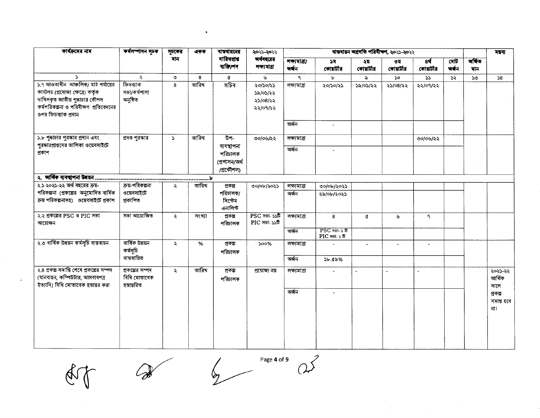| কার্যক্রমের নাম                                                                                                                                                              | কৰ্মসম্পাদন সূচক                               | সূচকের              | একক    | বাস্তবায়নের                          | २०२১-२०२२                                    | ৰান্তৰায়ন অগ্ৰগতি পৰিবীক্ষণ, ২০২১-২০২২ |                                          |                  |                             |                  |              |               | वढव                          |
|------------------------------------------------------------------------------------------------------------------------------------------------------------------------------|------------------------------------------------|---------------------|--------|---------------------------------------|----------------------------------------------|-----------------------------------------|------------------------------------------|------------------|-----------------------------|------------------|--------------|---------------|------------------------------|
|                                                                                                                                                                              |                                                | মান                 |        | দায়িত্প্ৰাপ্ত<br>ব্যক্তি/পদ          | অর্থবছরের<br>লক্যমাত্ৰা                      | লক্ষ্যমাত্ৰা/<br>অৰ্জন                  | ১ম<br>কোয়ার্টার                         | ২য<br>কোয়ার্টার | ৩য়<br>কোয়ার্টার           | 84<br>কোয়ার্টার | মোট<br>অৰ্জন | অৰ্জিত<br>মান |                              |
| $\Delta$                                                                                                                                                                     | $\lambda$                                      | $\circ$             | 8      | ¢                                     | ىق                                           | $\mathbf{q}$                            | Ъ                                        | ৯                | $\mathcal{S}^{\mathcal{O}}$ | 55               | 52           | $50^{\circ}$  | 58                           |
| ১.৭ আওতাধীন আঞ্চলিক/ মাঠ পর্যায়ের<br>কার্যালয় (প্রযোজ্য ক্ষেত্রে) কর্তৃক<br>দাখিলকৃত জাতীয় শুদ্ধাচার কৌশল<br>কর্মপরিকল্পনা ও পরিবীক্ষণ প্রতিবেদনের<br>ওপর ফিডব্যাক প্রদান | ফিডব্যাক<br>সভা/কৰ্মশালা<br>অনুষ্ঠিত           | 8                   | তারিখ  | সচিব                                  | ২০/১০/২১<br>১৯/০১/২২<br>২১/০৪/২২<br>২২/০৭/২২ | লক্ষ্যমাত্ৰা<br>অৰ্জন                   | ২০/১০/২১                                 | ১৯/০১/২২         | ২১/০৪/২২                    | ২২/০৭/২২         |              |               |                              |
|                                                                                                                                                                              |                                                |                     |        |                                       |                                              |                                         | $\bullet$                                |                  |                             |                  |              |               |                              |
| ১.৮ শুদ্ধাচার পুরস্কার প্রদান এবং<br>পুরস্কারপ্রাপ্তদের তালিকা ওয়েবসাইটে                                                                                                    | প্রদত্ত পুরস্কার                               | $\Delta$            | তারিখ  | উপ-<br>ব্যবস্থাপনা                    | ৩০/০৬/২২                                     | লক্ষ্যমাত্ৰা                            |                                          |                  |                             | ৩০/০৬/২২         |              |               |                              |
| প্ৰকাশ                                                                                                                                                                       |                                                |                     |        | পরিচালক<br>(প্ৰশাসন/অৰ্থ<br>/প্ৰকৌশল) |                                              | অৰ্জন                                   | $\bullet$                                |                  |                             |                  |              |               |                              |
|                                                                                                                                                                              |                                                |                     |        |                                       |                                              |                                         |                                          |                  |                             |                  |              |               |                              |
| ২.১ ২০২১-২২ অর্থ বছরের ক্রয়-                                                                                                                                                | ক্রয় পরিকল্পনা                                | ÷.                  | তারিখ  | প্ৰকল্প                               | ৩০/০৮/২০২১                                   | লক্ষ্যমাত্ৰা                            | ৩০/০৮/২০২১                               |                  |                             |                  |              |               |                              |
| পরিকল্পনা (প্রকল্পের অনুমোদিত বার্ষিক<br>ক্রয় পরিকল্পনাসহ) ওয়েবসাইটে প্রকাশ                                                                                                | ওয়েবসাইটে<br>প্ৰকাশিত                         |                     |        | পরিচালক/<br>সিস্টেম<br>এনালিস্ট       |                                              | অৰ্জন                                   | ২৯/০৮/২০২১                               |                  |                             |                  |              |               |                              |
| ২.২ প্রকল্পের PSC ও PIC সভা<br>আয়োজন                                                                                                                                        | সভা আয়োজিত                                    | $\ddot{\mathbf{z}}$ | সংখ্যা | প্ৰকল্প<br>পরিচালক                    | $PSC$ সভা- $S\$<br>PIC সভা- ১১টি             | লক্ষ্যমাত্ৰা                            | 8                                        | ¢                | ৬                           | ٩                |              |               |                              |
|                                                                                                                                                                              |                                                |                     |        |                                       |                                              | অৰ্জন                                   | $PSC$ সভা $\cdot$ ১ টি<br>$PIC$ সতা-১ টি |                  |                             |                  |              |               |                              |
| ২.৩ বাৰ্ষিক উন্নয়ন কৰ্মসূচি বাস্তবায়ন                                                                                                                                      | বাৰ্ষিক উন্নয়ন<br>কৰ্মসূচি                    | $\ddot{\sim}$       | %      | প্ৰকল্প<br>পরিচালক                    | $500\%$                                      | লক্ষ্যমাত্ৰা                            |                                          | $\omega$         |                             | $\sim$           |              |               |                              |
|                                                                                                                                                                              | বাস্তবায়িত                                    |                     |        |                                       |                                              | অৰ্জন                                   | $56.8\%$                                 |                  |                             |                  |              |               |                              |
| ২.৪ প্রকল্প সমাপ্তি শেষে প্রকল্পের সম্পদ<br>(যানবাহন, কম্পিউটার, আসবাবপত্র<br>ইত্যাদি) বিধি মোতাবেক হস্তান্তর করা                                                            | প্রকল্পের সম্পদ<br>বিধি মোতাবেক<br>হস্তান্তরিত | $\ddot{\sim}$       | তারিখ  | প্ৰকল্প<br>পরিচালক                    | প্ৰযোজ্য নয়                                 | লক্ষ্যমাত্ৰা                            |                                          |                  |                             |                  |              |               | ২০২১-২২<br>আৰ্থিক<br>সালে    |
|                                                                                                                                                                              |                                                |                     |        |                                       |                                              | অৰ্জন                                   | $\overline{\phantom{a}}$                 |                  |                             |                  |              |               | প্ৰকল্প<br>সমাপ্ত হবে<br>না। |

 $\partial$ 

 $\bullet$ 

Page 4 of 9

 $\mathbb{Q}$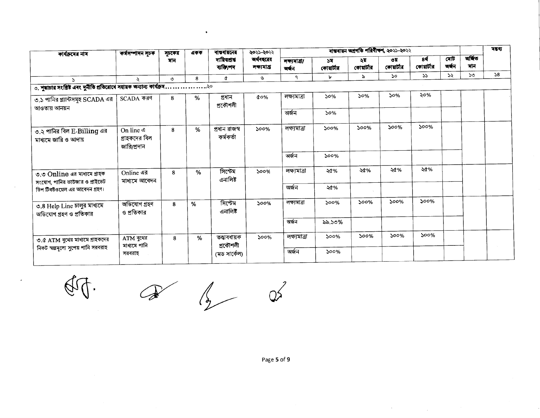|                                           |                                                   | একক    | ৰান্তৰায়নের                | ২০২১-২০২২                                                                                       |                      |                  |                   |                   |                  |                                         |     | সম্বৰ্ |
|-------------------------------------------|---------------------------------------------------|--------|-----------------------------|-------------------------------------------------------------------------------------------------|----------------------|------------------|-------------------|-------------------|------------------|-----------------------------------------|-----|--------|
|                                           | মান                                               |        | দায়িতপ্ৰাপ্ত<br>ব্যক্তি/পদ | অর্থবছরের<br>লক্যমাত্ৰা                                                                         | লক্যমাত্ৰা/<br>অৰ্জন | ১ম<br>কোয়ার্টার | ২য়<br>কোয়ার্টার | ৩য়<br>কোয়ার্টার | 84<br>কোয়ার্টার | মোট<br>অৰ্ধন                            | মান |        |
|                                           | $\circ$                                           | 8      | ¢                           | Ġ                                                                                               | ٩                    | ۴                | $\approx$         | <b>So</b>         | $55 -$           | ১২                                      | ১৩  | 58     |
|                                           |                                                   |        |                             |                                                                                                 |                      |                  |                   |                   |                  |                                         |     |        |
| SCADA করণ                                 | 8                                                 | $\%$   | প্ৰধান                      | $\alpha$ o%                                                                                     | লক্ষমাত্ৰা           | 50%              | 50%               | 50%               | ২০%              |                                         |     |        |
|                                           |                                                   |        |                             |                                                                                                 | অৰ্জন                | 50%              |                   |                   |                  |                                         |     |        |
| On line 4<br>গ্রাহকদের বিল<br>জারি/প্রদান | 8                                                 | %      | প্ৰধান রাজস্ব<br>কৰ্মকৰ্তা  | $500\%$                                                                                         | লক্ষ্যমাত্ৰা         | 500%             | 500%              | 500%              | $500\%$          |                                         |     |        |
|                                           |                                                   |        |                             |                                                                                                 | অৰ্জন                | 500%             |                   |                   |                  |                                         |     |        |
| Online এর                                 | 8                                                 | %      | সিস্টেম<br>এনালিষ্ট         | 500%                                                                                            | লক্ষ্যমাত্ৰা         | ২৫%              | ২৫%               | ২৫%               | ২৫%              |                                         |     |        |
|                                           |                                                   |        |                             |                                                                                                 | অৰ্জন                | ২৫%              |                   |                   |                  |                                         |     |        |
| অভিযোগ গ্ৰহণ<br>ও প্রতিকার                | 8                                                 | %      | সিস্টেম<br>এনালিষ্ট         | $500\%$                                                                                         | লক্ষ্মাত্ৰা          | $500\%$          | 500%              | 500%              | 500%             |                                         |     |        |
|                                           |                                                   |        |                             |                                                                                                 | অৰ্জন                | ৯৯.১৩%           |                   |                   |                  |                                         |     |        |
| ATM বুথের                                 | 8                                                 | %      | তত্ত্বাবধায়ক               | 500%                                                                                            | লক্ষ্যমাত্ৰা         | $500\%$          | $500\%$           | $500\%$           | $500\%$          |                                         |     |        |
| সরবরাহ                                    |                                                   |        | (মড সার্কেল)                |                                                                                                 | অৰ্জন                | 500%             |                   |                   |                  |                                         |     |        |
|                                           | কৰ্মসম্পাদন সূচক<br>মাধ্যমে আবেদন<br>মাধ্যমে পানি | সূচকের |                             | ৩. শুদ্ধাচার সংশ্লিষ্ট এবং দুর্নীতি প্রতিরোধে সহায়ক অন্যান্য কার্যক্রম<br>প্ৰকৌশলী<br>প্ৰকৌশলী |                      |                  |                   |                   |                  | ৰাস্তৰায়ন অগ্ৰগতি পৰিবীক্ষণ, ২০২১-২০২২ |     | অৰ্জিত |

 $\mathbb{Q}$ 

 $\begin{picture}(120,17)(-10,17)(-10,17)(-10,17)(-10,17)(-10,17)(-10,17)(-10,17)(-10,17)(-10,17)(-10,17)(-10,17)(-10,17)(-10,17)(-10,17)(-10,17)(-10,17)(-10,17)(-10,17)(-10,17)(-10,17)(-10,17)(-10,17)(-10,17)(-10,17)(-10,17)(-10,17)(-10,17)(-10,17)(-10,17)(-10,1$ 

 $\bullet$ 

 $Q^2$ 

Page 5 of 9

 $\sim$   $\sim$ 

 $\mathcal{L}_{\mathcal{A}}$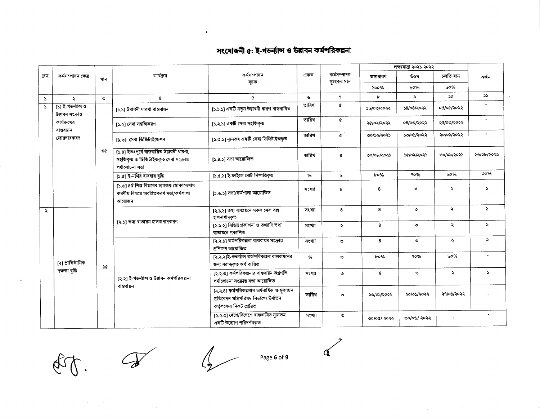## সংযোজনী ৫: ই-গভৰ্ন্যান্স ও উত্তাবন কৰ্মপরিকল্পনা

 $\bullet$ 

|               |                                          |                                |                                                                                                       |                                                                                  |                                                                                                                         |                           |             | লক্ষ্যমাত্ৰা ২০২১-২০২২ |                      |               |  |
|---------------|------------------------------------------|--------------------------------|-------------------------------------------------------------------------------------------------------|----------------------------------------------------------------------------------|-------------------------------------------------------------------------------------------------------------------------|---------------------------|-------------|------------------------|----------------------|---------------|--|
| ক্ৰম          | কৰ্মসম্পাদন ক্ষেত্ৰ                      | মান                            | কাৰ্যক্ৰম                                                                                             | কর্মসম্পাদন<br>সূচক                                                              | একক                                                                                                                     | কৰ্মসম্পাদন<br>সূচকের মান | অসাধারণ     | ডতম                    | চলতি মান             | অৰ্জন         |  |
|               |                                          |                                |                                                                                                       |                                                                                  |                                                                                                                         |                           | 500%        | $b^{\circ}$ %          | 60%                  |               |  |
| $\mathcal{L}$ | $\mathbf{v}$                             | $\circ$                        | 8                                                                                                     | ¢                                                                                | Ý.                                                                                                                      | ٩                         | Ъ           | ৯                      | ১০                   | 55            |  |
| $\mathcal{L}$ | [১] ই-গতর্ন্যান্স ও<br>উত্তাবন সংক্ৰান্ত |                                | [১.১] উদ্ভাবনী ধারণা বাস্তবায়ন                                                                       | [১.১.১] একটি নতুন উদ্ভাবনী ধারণা বাস্তবায়িত                                     | তারিখ                                                                                                                   | ¢                         | ১৬/০৩/২০২২  | ১৪/০৪/২০২২             | ০৫/০৫/২০২২           |               |  |
|               | কার্যক্রমের<br>বান্তবায়ন                |                                | [১.২] সেবা সহজিকরণ                                                                                    | [১.২.১] একটি সেবা সহজিকৃত                                                        | তারিখ                                                                                                                   | ¢                         | ২৫/০২/২০২২  | ০৪/০৩/২০২২             | ২৫/০৩/২০২২           |               |  |
|               | জোরদারকরণ                                |                                | [১.৩] সেবা ডিজিটাইজেশন                                                                                | [১.৩.১] ন্যূনতম একটি সেবা ডিজিটাইজকৃত                                            | তারিখ                                                                                                                   | ¢                         | ৩০/১২/২০২১  | ১৩/০১/২০২২             | ২০/০১/২০২২           |               |  |
|               |                                          | $\circ$                        | [১.৪] ইতঃপূৰ্বে বান্তবায়িত উদ্ভাবনী ধারণা,<br>সহজিকৃত ও ডিজিটাইজকৃত সেবা সংক্রান্ত<br>পর্যালোচনা সভা | [১.৪.১] সভা আয়োজিত                                                              | তারিখ                                                                                                                   | 8                         | ৩০/০৮/২০২১  | ১৫/০৯/২০২১             | ৩০/০৯/২০২১           | ২৬/০৮/২০২১    |  |
|               |                                          |                                | $[5.6]$ ই-নথির ব্যবহার বৃদ্ধি                                                                         | [১.৫.১] ই-ফাইলে নোট নিম্পত্তিকৃত                                                 | %                                                                                                                       | ৬                         | $b$ o%      | 90%                    | ৬০%                  | ৩০%           |  |
|               |                                          |                                | [১.৬] ৪র্থ শিল্প বিপ্লবের চ্যালেঞ্জ মোকাবেলায়<br>করণীয় বিষয়ে অবহিতকরণ সভা/কর্মশালা<br>আয়োজন       | [১.৬.১] সভা/কর্মশালা আয়োজিত                                                     | সংখ্যা                                                                                                                  | 8                         | 8           | $\circ$                | ź.                   | P.            |  |
| $\ddot{\sim}$ |                                          |                                |                                                                                                       | [২.১.১] তথ্য ৰাতায়নে সকল সেবা বক্স<br>হালনাগাদকৃত                               | সংখ্যা                                                                                                                  | 8                         | 8           | $\circ$                | $\ddot{\phantom{0}}$ | $\mathcal{L}$ |  |
|               |                                          | [২.১] তথ্য বাতায়ন হালনাগাদকরণ |                                                                                                       | [২.১.২] বিভিন্ন প্ৰকাশনা ও তথ্যাদি তথ্য<br>বাতায়নে প্রকাশিত                     | সংখ্যা                                                                                                                  | $\ddot{\mathbf{z}}$       | 8           | $\circ$                | $\lambda$            | $\mathcal{L}$ |  |
|               |                                          |                                |                                                                                                       | [২.২.১] কর্মপরিকল্পনা বান্তবায়ন সংক্রান্ত<br>প্ৰশিক্ষণ আয়োজিত                  | সংখ্যা                                                                                                                  | ৩                         | 8           | $\circ$                | ₹                    | $\mathcal{L}$ |  |
|               | [২] প্রাতিষ্ঠানিক                        | $\mathcal{A}$                  |                                                                                                       | [২.২.২]ই-গভৰ্ন্যান্স কৰ্মপত্তিকল্পনা বাস্তবায়নের<br>জন্য বরাদ্দকৃত অর্থ ব্যয়িত | %                                                                                                                       | ৩                         | $b$ 0%      | 90%                    | ৬০%                  |               |  |
|               | দক্ষতা বৃদ্ধি                            |                                | [২.২] ই-গভৰ্ন্যান্স ও উদ্ভাবন কৰ্মপরিকল্পনা                                                           | [২.২.৩] কর্মপরিকল্পনার বান্তবায়ন অগ্রগতি<br>পর্যালোচনা সংক্রান্ত সভা আয়োজিত    | সংখ্যা                                                                                                                  | ৩                         | 8           | $\circ$                | $\ddot{\phantom{0}}$ | P.            |  |
|               |                                          |                                |                                                                                                       | বান্তবায়ন                                                                       | [২.২.৪] কর্মপরিকল্পনার অর্ধবার্ষিক স্ব-মূল্যায়ন<br>প্ৰতিবেদন মন্ত্ৰিপরিষদ বিভাগে/ উৰ্ধ্বতন<br>কর্তৃপক্ষের নিকট প্রেরিত | তারিখ                     | $\circ$     | ১৩/০১/২০২২             | ২০/০১/২০২২           | ২৭/০১/২০২২    |  |
|               |                                          |                                |                                                                                                       | [২.২.৫] দেশে/বিদেশে বান্তবায়িত ন্যূনতম<br>একটি উদ্যোগ পরিদর্শনকৃত               | সংখ্যা                                                                                                                  | $\circ$                   | ৩০/০৫/ ২০২২ | ৩০/০৬/ ২০২২            |                      |               |  |

E

 $\partial\!\!\!\!\delta$ 

Page 6 of 9

 $\alpha$ 

 $\label{eq:2.1} \mathcal{L}^{\mathcal{A}}(\mathcal{A}) = \mathcal{L}^{\mathcal{A}}(\mathcal{A}) = \mathcal{L}^{\mathcal{A}}(\mathcal{A}) = \mathcal{L}^{\mathcal{A}}(\mathcal{A})$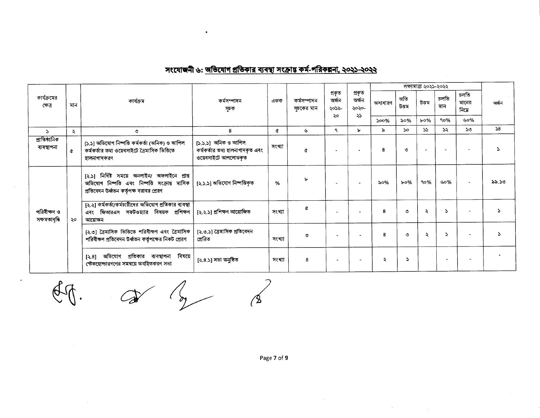|                              |               |                                                                                                                                              |                                                                               |        |                          |                          |                                |           |                       | লক্ষ্যমাত্ৰা ২০২১-২০২২ |                          |                       |       |  |
|------------------------------|---------------|----------------------------------------------------------------------------------------------------------------------------------------------|-------------------------------------------------------------------------------|--------|--------------------------|--------------------------|--------------------------------|-----------|-----------------------|------------------------|--------------------------|-----------------------|-------|--|
| কার্যক্রমের<br>ক্ষেত্ৰ       | মান           | কাৰ্যক্ৰম                                                                                                                                    | কর্মসম্পাদন<br>সূচক                                                           | একক    | কর্মসম্পাদন<br>সচকের মান | প্ৰকৃত<br>অৰ্জন<br>২০১৯- | প্ৰকৃত<br>অৰ্জন<br>২০২০-<br>২১ | অসাধারণ   | অতি<br>উত্তম          | উত্তম                  | চলতি<br>মান              | চলতি<br>মানের<br>নিমে | অৰ্জন |  |
|                              |               |                                                                                                                                              |                                                                               |        |                          | ২০                       |                                | 500%      | ৯০%                   | $b \circ \%$           | 90%                      | ৬০%                   |       |  |
| $\Delta$                     | $\mathcal{L}$ | ৩                                                                                                                                            | 8                                                                             | ¢      | ىل                       | ٩                        | ৮                              | $\lambda$ | $\mathcal{S}^{\circ}$ | 55                     | ১২                       | $50^{\circ}$          | 58    |  |
| প্ৰাতিষ্ঠানিক<br>ব্যবস্থাপনা | $\alpha$      | [১.১] অভিযোগ নিষ্পত্তি কর্মকর্তা (অনিক) ও আপিল<br>কর্মকর্তার তথ্য ওয়েবসাইটে ত্রৈমাসিক ভিত্তিতে<br>হালনাগাদকরণ                               | [১.১.১] অনিক ও আপিল<br>কর্মকর্তার তথ্য হালনাগাদকৃত এবং<br>ওয়েবসাইটে আপলোডকৃত | সংখ্যা | Q                        |                          |                                | 8         | ৩                     |                        | $\overline{\phantom{a}}$ |                       |       |  |
| পরিবীক্ষণ ও<br>সক্ষমতাবৃদ্ধি |               | [২.১] নিৰ্দিষ্ট সময়ে অনলাইন/ অফলাইনে প্ৰাপ্ত<br>অভিযোগ নিষ্পত্তি এবং নিষ্পত্তি সংক্রান্ত মাসিক<br>প্রতিবেদন উর্ধ্বতন কর্তৃপক্ষ বরাবর প্রেরণ | [২.১.১] অভিযোগ নিষ্পত্তিকৃত                                                   | %      | $\mathbf{b}$             |                          |                                | ৯০%       | $b$ 0%                | 90%                    | ৬০%                      |                       | ৯৯.১৩ |  |
|                              | ২০            | [২.২] কর্মকর্তা/কর্মচারীদের অভিযোগ প্রতিকার ব্যবস্থা<br>জিআরএস সফটওয়্যার বিষয়ক প্রশিক্ষণ<br>এবং<br>আয়োজন                                  | [২.২.১] প্ৰশিক্ষণ আয়োজিত                                                     | সংখ্যা | å                        | $\overline{\phantom{a}}$ |                                | -8        | ৩                     | ź.                     | Z.                       |                       |       |  |
|                              |               | [২.৩] ত্রৈমাসিক ভিত্তিতে পরিবীক্ষণ এবং ত্রৈমাসিক<br>পরিবীক্ষণ প্রতিবেদন উর্ধ্বতন কর্তৃপক্ষের নিকট প্রেরণ                                     | [২.৩.১] ত্রৈমাসিক প্রতিবেদন<br>প্ৰেরিত                                        | সংখ্যা | ۱'n                      |                          |                                | 8         | ৩                     | $\ddot{\phantom{0}}$   | <sup>2</sup>             |                       |       |  |
|                              |               | বিষয়ে<br>অভিযোগ প্রতিকার ব্যবস্থাপনা<br>[3.8]<br>স্টেকহোল্ডারগণের সমন্বয়ে অবহিতকরণ সভা                                                     | [২.৪.১] সভা অনুষ্ঠিত                                                          | সংখ্যা | я                        |                          |                                | ১         | Σ                     |                        |                          |                       |       |  |

# সংযোজনী ৬: <u>অভিযোগ প্রতিকার ব্যবস্থা সংক্রান্ত কর্ম-পরিকল্পনা, ২০২১-২০২২</u>

 $\begin{array}{ccccc}\n\mathbf{a} & \mathbf{b} & \mathbf{c} & \mathbf{c} \\
\mathbf{c} & \mathbf{c} & \mathbf{c} & \mathbf{c} & \mathbf{c}\n\end{array}$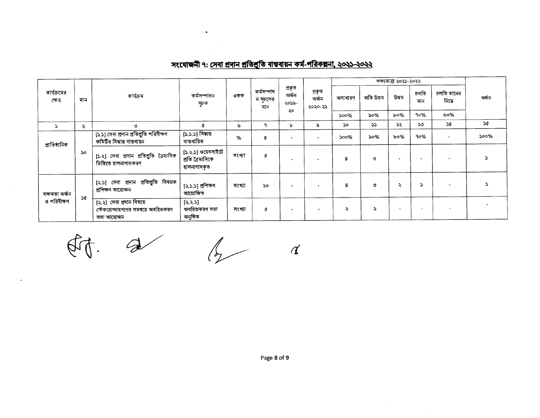|  |  | সংযোজনী ৭: সেবা প্রদান প্রতিশ্রুতি বান্তবায়ন কর্ম-পরিকল্পনা, ২০২১-২০২২ |  |
|--|--|-------------------------------------------------------------------------|--|
|--|--|-------------------------------------------------------------------------|--|

 $\bullet$ 

 $\mathcal{L}^{\text{max}}_{\text{max}}$  ,  $\mathcal{L}^{\text{max}}_{\text{max}}$  $\sim$ 

|                        |               |                                                                              |                                                      |        |                               |                          |                            |         |           | লক্ষ্যমাত্ৰা ২০২১-২০২২   |             |                          |               |
|------------------------|---------------|------------------------------------------------------------------------------|------------------------------------------------------|--------|-------------------------------|--------------------------|----------------------------|---------|-----------|--------------------------|-------------|--------------------------|---------------|
| কার্যক্রমের<br>ক্ষেত্ৰ | মান           | কাৰ্যক্ৰম                                                                    | কৰ্মসম্পাদন<br>সূচক                                  | একক    | কৰ্মসম্পাদ<br>ন সূচকের<br>মান | প্ৰকৃত<br>অৰ্জন<br>২০১৯- | প্ৰকৃত<br>অৰ্জন<br>২০২০-২১ | অসাধারণ | অতি উত্তম | উত্তম                    | চলতি<br>মান | চলতি মানের<br>নিমে       | অৰ্জন         |
|                        |               |                                                                              |                                                      |        |                               | ২০                       |                            | 500%    | ৯০%       | $b$ 0%                   | 90%         | ৬০%                      |               |
|                        | $\ddot{\sim}$ | ৩                                                                            | 8                                                    | ৬      | ٩                             | ৮                        | ৯                          | 5o      | ১১        | ১২                       | ১৩          | 58                       | $\mathcal{A}$ |
| প্ৰাতিষ্ঠানিক          |               | [১.১] সেবা প্রদান প্রতিশ্রুতি পরিবীক্ষণ<br>কমিটির সিদ্ধান্ত বাস্তবায়ন       | [১.১.১] সিদ্ধান্ত<br>বান্তবায়িত                     | %      | ¢                             | ۰                        |                            | $500\%$ | ৯০%       | $b \circ \%$             | 90%         | $\overline{\phantom{a}}$ | 500%          |
|                        | <b>So</b>     | [১.২] সেবা প্রদান প্রতিশ্রুতি ত্রৈমাসিক<br>ভিত্তিতে হালনাগাদকরণ              | [১.২.১] ওয়েবসাইটে<br>প্ৰতি ত্ৰৈমাসিকে<br>হালনাগাদকত | সংখ্যা | ¢                             | $\bullet$                |                            | 8       | $\circ$   | $\overline{\phantom{a}}$ |             |                          | Σ             |
| সক্ষমতা অৰ্জন          |               | [২.১] সেবা প্রদান প্রতিশ্রুতি বিষয়ক<br>প্ৰশিক্ষণ আয়োজন                     | [২.১.১] প্ৰশিক্ষণ<br>আয়োজিত                         | সংখ্যা | 50                            | $\bullet$                |                            | 8       | $\circ$   | ২                        |             | $\blacksquare$           | 2             |
| ও পরিবীক্ষণ            | 5¢            | [২.২] সেবা প্রদান বিষয়ে<br>স্টেকহোল্ডারগণের সমন্বয়ে অবহিতকরণ<br>সভা আয়োজন | [3.3.5]<br>অবহিতকরণ সভা<br>অনুষ্ঠিত                  | সংখ্যা | ¢                             | $\blacksquare$           |                            | ₹       | 2         |                          |             | $\overline{\phantom{a}}$ |               |

Et.

 $\sim$ 

 $\hat{\boldsymbol{r}}$ 

 $\alpha$ 

 $\mathcal{A}$  $\alpha$ 

Page 8 of 9

 $\label{eq:2.1} \frac{1}{\sqrt{2}}\int_{\mathbb{R}^3} \frac{1}{\sqrt{2}}\left(\frac{1}{\sqrt{2}}\right)^2\left(\frac{1}{\sqrt{2}}\right)^2\left(\frac{1}{\sqrt{2}}\right)^2\left(\frac{1}{\sqrt{2}}\right)^2\left(\frac{1}{\sqrt{2}}\right)^2\left(\frac{1}{\sqrt{2}}\right)^2.$